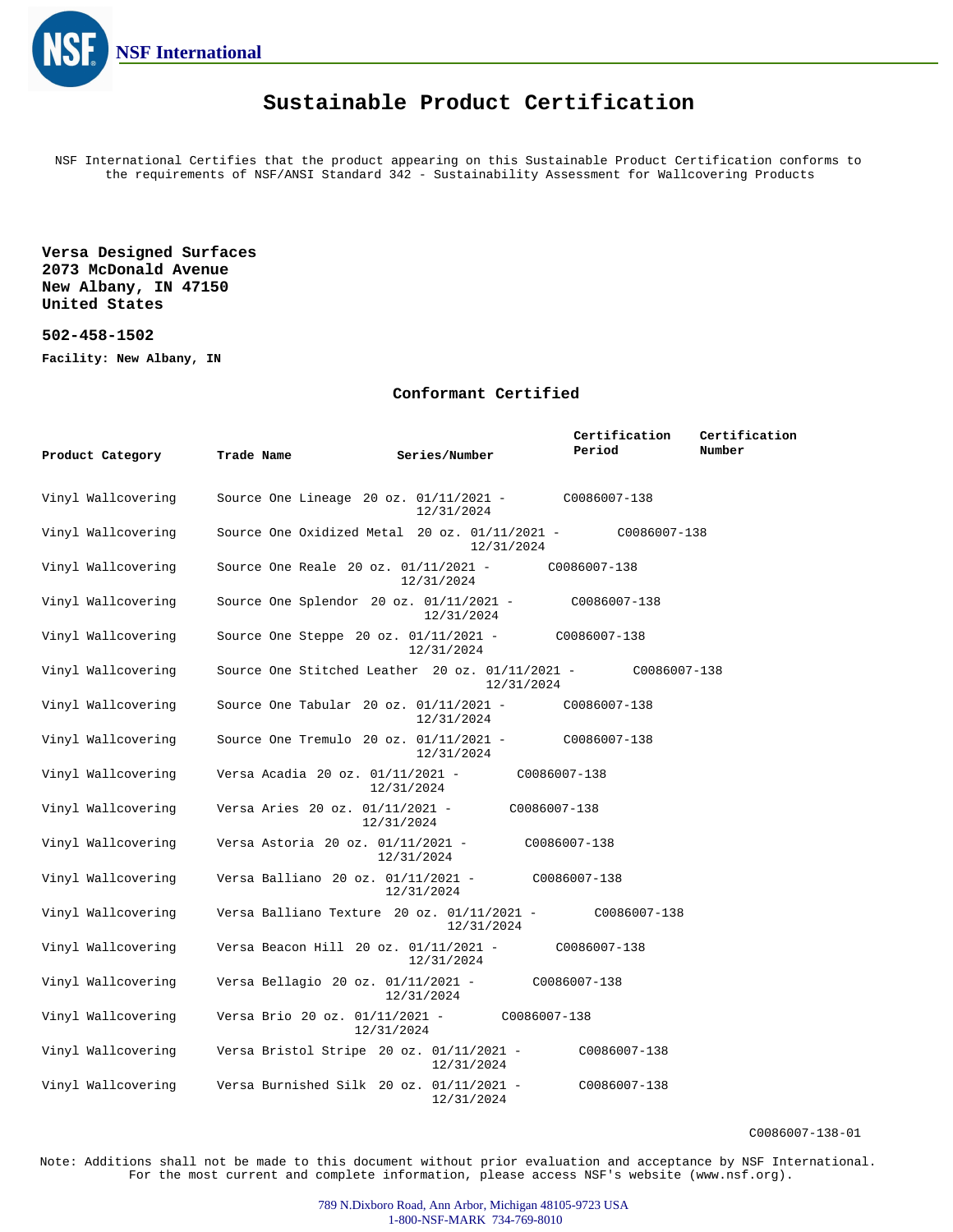

### **Sustainable Product Certification**

NSF International Certifies that the product appearing on this Sustainable Product Certification conforms to the requirements of NSF/ANSI Standard 342 - Sustainability Assessment for Wallcovering Products

**Versa Designed Surfaces 2073 McDonald Avenue New Albany, IN 47150 United States**

### **502-458-1502**

**Facility: New Albany, IN**

#### **Conformant Certified**

| Product Category   | Trade Name                                                         | Series/Number | Certification<br>Period | Certification<br>Number |
|--------------------|--------------------------------------------------------------------|---------------|-------------------------|-------------------------|
| Vinyl Wallcovering | Source One Lineage 20 oz. $01/11/2021$ -                           | 12/31/2024    | C0086007-138            |                         |
| Vinyl Wallcovering | Source One Oxidized Metal 20 oz. $01/11/2021$ - $0.00086007 - 138$ | 12/31/2024    |                         |                         |
| Vinyl Wallcovering | Source One Reale 20 oz. 01/11/2021 -                               | 12/31/2024    | C0086007-138            |                         |
| Vinyl Wallcovering | Source One Splendor $20$ oz. $01/11/2021$ -                        | 12/31/2024    | C0086007-138            |                         |
| Vinyl Wallcovering | Source One Steppe 20 oz. $01/11/2021$ -                            | 12/31/2024    | C0086007-138            |                         |
| Vinyl Wallcovering | Source One Stitched Leather 20 oz. $01/11/2021$ -                  | 12/31/2024    | C0086007-138            |                         |
| Vinyl Wallcovering | Source One Tabular 20 oz. $01/11/2021$ -                           | 12/31/2024    | C0086007-138            |                         |
| Vinyl Wallcovering | Source One Tremulo 20 oz. $01/11/2021$ -                           | 12/31/2024    | C0086007-138            |                         |
| Vinyl Wallcovering | Versa Acadia 20 oz. 01/11/2021 -                                   | 12/31/2024    | C0086007-138            |                         |
| Vinyl Wallcovering | Versa Aries 20 oz. 01/11/2021 -                                    | 12/31/2024    | C0086007-138            |                         |
| Vinyl Wallcovering | Versa Astoria 20 oz. 01/11/2021 -                                  | 12/31/2024    | C0086007-138            |                         |
| Vinyl Wallcovering | Versa Balliano 20 oz. 01/11/2021 -                                 | 12/31/2024    | C0086007-138            |                         |
| Vinyl Wallcovering | Versa Balliano Texture 20 oz. 01/11/2021 -                         | 12/31/2024    | C0086007-138            |                         |
| Vinyl Wallcovering | Versa Beacon Hill 20 oz. 01/11/2021 -                              | 12/31/2024    | C0086007-138            |                         |
| Vinyl Wallcovering | Versa Bellagio 20 oz. 01/11/2021 -                                 | 12/31/2024    | C0086007-138            |                         |
| Vinyl Wallcovering | Versa Brio 20 oz. 01/11/2021 -<br>12/31/2024                       | C0086007-138  |                         |                         |
| Vinyl Wallcovering | Versa Bristol Stripe $20$ oz. $01/11/2021$ -                       | 12/31/2024    | C0086007-138            |                         |
| Vinyl Wallcovering | Versa Burnished Silk 20 oz. $01/11/2021$ -                         | 12/31/2024    | C0086007-138            |                         |

C0086007-138-01

Note: Additions shall not be made to this document without prior evaluation and acceptance by NSF International. For the most current and complete information, please access NSF's website (www.nsf.org).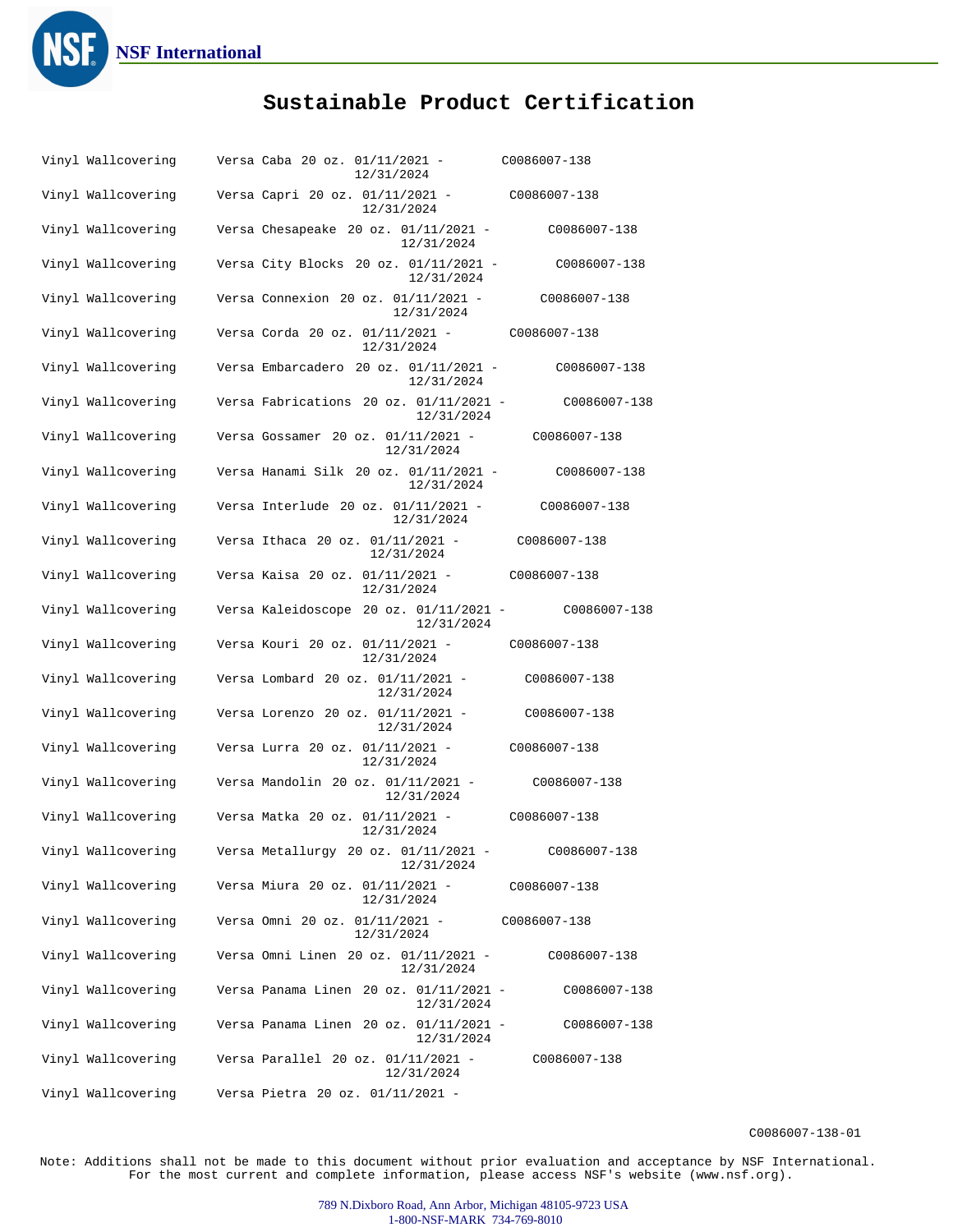

# **Sustainable Product Certification**

| Vinyl Wallcovering | Versa Caba 20 oz. 01/11/2021 -<br>12/31/2024              | C0086007-138 |
|--------------------|-----------------------------------------------------------|--------------|
| Vinyl Wallcovering | Versa Capri 20 oz. 01/11/2021 -<br>12/31/2024             | C0086007-138 |
| Vinyl Wallcovering | Versa Chesapeake $20$ oz. $01/11/2021$ -<br>12/31/2024    | C0086007-138 |
| Vinyl Wallcovering | Versa City Blocks 20 oz. 01/11/2021 -<br>12/31/2024       | C0086007-138 |
| Vinyl Wallcovering | Versa Connexion 20 oz. $01/11/2021$ -<br>12/31/2024       | C0086007-138 |
| Vinyl Wallcovering | Versa Corda 20 oz. 01/11/2021 -<br>12/31/2024             | C0086007-138 |
| Vinyl Wallcovering | Versa Embarcadero 20 oz. $01/11/2021$ -<br>12/31/2024     | C0086007-138 |
| Vinyl Wallcovering | Versa Fabrications 20 oz. 01/11/2021 -<br>12/31/2024      | C0086007-138 |
| Vinyl Wallcovering | Versa Gossamer 20 oz. 01/11/2021 -<br>12/31/2024          | C0086007-138 |
| Vinyl Wallcovering | Versa Hanami Silk 20 oz. 01/11/2021 -<br>12/31/2024       | C0086007-138 |
| Vinyl Wallcovering | Versa Interlude 20 oz. 01/11/2021 -<br>12/31/2024         | C0086007-138 |
| Vinyl Wallcovering | Versa Ithaca 20 oz. 01/11/2021 -<br>12/31/2024            | C0086007-138 |
| Vinyl Wallcovering | Versa Kaisa 20 oz. 01/11/2021 -<br>12/31/2024             | C0086007-138 |
| Vinyl Wallcovering | Versa Kaleidoscope 20 oz. 01/11/2021 -<br>12/31/2024      | C0086007-138 |
|                    |                                                           |              |
| Vinyl Wallcovering | Versa Kouri 20 oz. 01/11/2021 -<br>12/31/2024             | C0086007-138 |
| Vinyl Wallcovering | Versa Lombard 20 oz. 01/11/2021 -<br>12/31/2024           | C0086007-138 |
| Vinyl Wallcovering | Versa Lorenzo 20 oz. 01/11/2021 -<br>12/31/2024           | C0086007-138 |
| Vinyl Wallcovering | Versa Lurra 20 oz. 01/11/2021 -<br>12/31/2024             | C0086007-138 |
| Vinyl Wallcovering | Versa Mandolin 20 oz. 01/11/2021 -<br>12/31/2024          | C0086007-138 |
| Vinyl Wallcovering | Versa Matka 20 oz. 01/11/2021 -<br>12/31/2024             | C0086007-138 |
| Vinyl Wallcovering | Versa Metallurgy 20 oz. 01/11/2021 -<br>12/31/2024        | C0086007-138 |
| Vinyl Wallcovering | Versa Miura 20 oz. 01/11/2021 -<br>12/31/2024             | C0086007-138 |
| Vinyl Wallcovering | Versa Omni 20 oz. 01/11/2021 - C0086007-138<br>12/31/2024 |              |
| Vinyl Wallcovering | Versa Omni Linen 20 oz. 01/11/2021 -<br>12/31/2024        | C0086007-138 |
| Vinyl Wallcovering | Versa Panama Linen 20 oz. $01/11/2021$ -<br>12/31/2024    | C0086007-138 |
| Vinyl Wallcovering | Versa Panama Linen 20 oz. 01/11/2021 -<br>12/31/2024      | C0086007-138 |
| Vinyl Wallcovering | Versa Parallel 20 oz. 01/11/2021 -<br>12/31/2024          | C0086007-138 |

C0086007-138-01

Note: Additions shall not be made to this document without prior evaluation and acceptance by NSF International. For the most current and complete information, please access NSF's website (www.nsf.org).